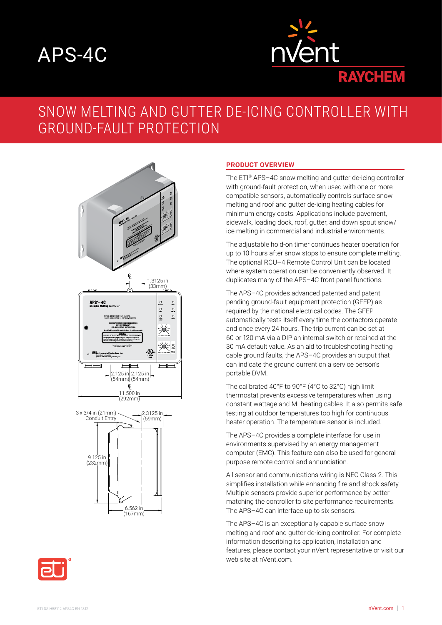# APS-4C



# SNOW MELTING AND GUTTER DE-ICING CONTROLLER WITH GROUND-FAULT PROTECTION





#### **PRODUCT OVERVIEW**

The ETI® APS–4C snow melting and gutter de-icing controller with ground-fault protection, when used with one or more compatible sensors, automatically controls surface snow melting and roof and gutter de-icing heating cables for minimum energy costs. Applications include pavement, sidewalk, loading dock, roof, gutter, and down spout snow/ ice melting in commercial and industrial environments.

The adjustable hold-on timer continues heater operation for up to 10 hours after snow stops to ensure complete melting. The optional RCU–4 Remote Control Unit can be located where system operation can be conveniently observed. It duplicates many of the APS–4C front panel functions.

The APS-4C provides advanced patented and patent pending ground-fault equipment protection (GFEP) as required by the national electrical codes. The GFEP automatically tests itself every time the contactors operate and once every 24 hours. The trip current can be set at 60 or 120 mA via a DIP an internal switch or retained at the 30 mA default value. As an aid to troubleshooting heating cable ground faults, the APS–4C provides an output that can indicate the ground current on a service person's portable DVM.

The calibrated 40°F to 90°F (4°C to 32°C) high limit thermostat prevents excessive temperatures when using constant wattage and MI heating cables. It also permits safe testing at outdoor temperatures too high for continuous heater operation. The temperature sensor is included.

The APS–4C provides a complete interface for use in environments supervised by an energy management computer (EMC). This feature can also be used for general purpose remote control and annunciation.

All sensor and communications wiring is NEC Class 2. This simplifies installation while enhancing fire and shock safety. Multiple sensors provide superior performance by better matching the controller to site performance requirements. The APS–4C can interface up to six sensors.

The APS–4C is an exceptionally capable surface snow melting and roof and gutter de-icing controller. For complete information describing its application, installation and features, please contact your nVent representative or visit our web site at nVent com.

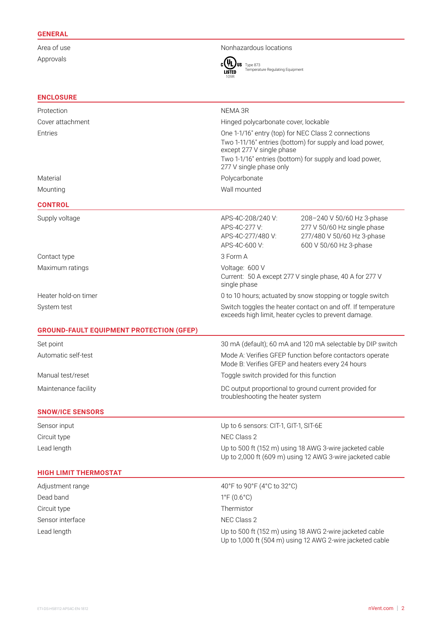## **GENERAL**

Approvals

**ENCLOSURE**

Area of use Nonhazardous locations



Type 873 Temperature Regulating Equipment

| Protection                                      | NEMA 3R                                                                                                                                                                                                                            |                                                                                                                      |
|-------------------------------------------------|------------------------------------------------------------------------------------------------------------------------------------------------------------------------------------------------------------------------------------|----------------------------------------------------------------------------------------------------------------------|
| Cover attachment                                | Hinged polycarbonate cover, lockable                                                                                                                                                                                               |                                                                                                                      |
| Entries                                         | One 1-1/16" entry (top) for NEC Class 2 connections<br>Two 1-11/16" entries (bottom) for supply and load power,<br>except 277 V single phase<br>Two 1-1/16" entries (bottom) for supply and load power,<br>277 V single phase only |                                                                                                                      |
| Material                                        | Polycarbonate                                                                                                                                                                                                                      |                                                                                                                      |
| Mounting                                        | Wall mounted                                                                                                                                                                                                                       |                                                                                                                      |
| <b>CONTROL</b>                                  |                                                                                                                                                                                                                                    |                                                                                                                      |
| Supply voltage                                  | APS-4C-208/240 V:<br>APS-4C-277 V:<br>APS-4C-277/480 V:<br>APS-4C-600 V:                                                                                                                                                           | 208-240 V 50/60 Hz 3-phase<br>277 V 50/60 Hz single phase<br>277/480 V 50/60 Hz 3-phase<br>600 V 50/60 Hz 3-phase    |
| Contact type                                    | 3 Form A                                                                                                                                                                                                                           |                                                                                                                      |
| Maximum ratings                                 | Voltage: 600 V<br>Current: 50 A except 277 V single phase, 40 A for 277 V<br>single phase                                                                                                                                          |                                                                                                                      |
| Heater hold-on timer                            | 0 to 10 hours; actuated by snow stopping or toggle switch                                                                                                                                                                          |                                                                                                                      |
| System test                                     | Switch toggles the heater contact on and off. If temperature<br>exceeds high limit, heater cycles to prevent damage.                                                                                                               |                                                                                                                      |
| <b>GROUND-FAULT EQUIPMENT PROTECTION (GFEP)</b> |                                                                                                                                                                                                                                    |                                                                                                                      |
| Set point                                       | 30 mA (default); 60 mA and 120 mA selectable by DIP switch                                                                                                                                                                         |                                                                                                                      |
| Automatic self-test                             | Mode A: Verifies GFEP function before contactors operate<br>Mode B: Verifies GFEP and heaters every 24 hours                                                                                                                       |                                                                                                                      |
| Manual test/reset                               | Toggle switch provided for this function                                                                                                                                                                                           |                                                                                                                      |
| Maintenance facility                            | DC output proportional to ground current provided for<br>troubleshooting the heater system                                                                                                                                         |                                                                                                                      |
| <b>SNOW/ICE SENSORS</b>                         |                                                                                                                                                                                                                                    |                                                                                                                      |
| Sensor input                                    | Up to 6 sensors: CIT-1, GIT-1, SIT-6E                                                                                                                                                                                              |                                                                                                                      |
| Circuit type                                    | NEC Class 2                                                                                                                                                                                                                        |                                                                                                                      |
| Lead length                                     | Up to 500 ft (152 m) using 18 AWG 3-wire jacketed cable<br>Up to 2,000 ft (609 m) using 12 AWG 3-wire jacketed cable                                                                                                               |                                                                                                                      |
| <b>HIGH LIMIT THERMOSTAT</b>                    |                                                                                                                                                                                                                                    |                                                                                                                      |
| Adjustment range                                | 40°F to 90°F (4°C to 32°C)                                                                                                                                                                                                         |                                                                                                                      |
| Dead band                                       | $1^{\circ}F(0.6^{\circ}C)$                                                                                                                                                                                                         |                                                                                                                      |
| Circuit type                                    | Thermistor                                                                                                                                                                                                                         |                                                                                                                      |
| Sensor interface                                | NEC Class 2                                                                                                                                                                                                                        |                                                                                                                      |
| Lead length                                     |                                                                                                                                                                                                                                    | Up to 500 ft (152 m) using 18 AWG 2-wire jacketed cable<br>Up to 1,000 ft (504 m) using 12 AWG 2-wire jacketed cable |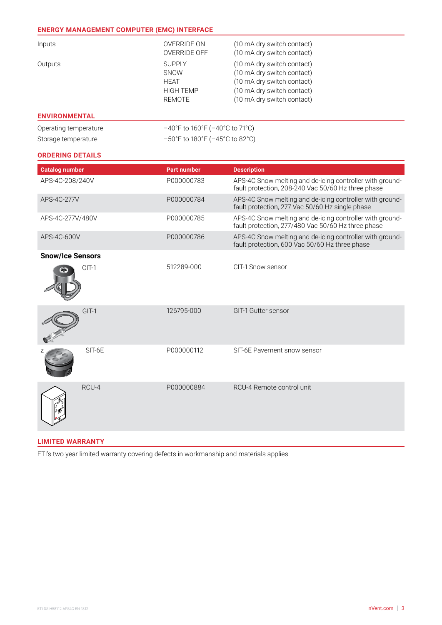# **ENERGY MANAGEMENT COMPUTER (EMC) INTERFACE**

| Inputs  | OVERRIDE ON<br>OVERRIDE OFF                                               | (10 mA dry switch contact)<br>(10 mA dry switch contact)                                                                                           |
|---------|---------------------------------------------------------------------------|----------------------------------------------------------------------------------------------------------------------------------------------------|
| Outputs | <b>SUPPLY</b><br>SNOW<br><b>HFAT</b><br><b>HIGH TEMP</b><br><b>REMOTE</b> | (10 mA dry switch contact)<br>(10 mA dry switch contact)<br>(10 mA dry switch contact)<br>(10 mA dry switch contact)<br>(10 mA dry switch contact) |

# **ENVIRONMENTAL**

| Operating temperature | $-40^{\circ}$ F to 160°F (-40°C to 71°C) |
|-----------------------|------------------------------------------|
| Storage temperature   | -50°F to 180°F (-45°C to 82°C)           |

## **ORDERING DETAILS**

| <b>Catalog number</b>   |         | <b>Part number</b> | <b>Description</b>                                                                                             |
|-------------------------|---------|--------------------|----------------------------------------------------------------------------------------------------------------|
| APS-4C-208/240V         |         | P000000783         | APS-4C Snow melting and de-icing controller with ground-<br>fault protection, 208-240 Vac 50/60 Hz three phase |
| APS-4C-277V             |         | P000000784         | APS-4C Snow melting and de-icing controller with ground-<br>fault protection, 277 Vac 50/60 Hz single phase    |
| APS-4C-277V/480V        |         | P000000785         | APS-4C Snow melting and de-icing controller with ground-<br>fault protection, 277/480 Vac 50/60 Hz three phase |
| APS-4C-600V             |         | P000000786         | APS-4C Snow melting and de-icing controller with ground-<br>fault protection, 600 Vac 50/60 Hz three phase     |
| <b>Snow/Ice Sensors</b> |         |                    |                                                                                                                |
|                         | $CIT-1$ | 512289-000         | CIT-1 Snow sensor                                                                                              |
|                         | $GIT-1$ | 126795-000         | GIT-1 Gutter sensor                                                                                            |
|                         | SIT-6E  | P000000112         | SIT-6E Pavement snow sensor                                                                                    |
|                         | RCU-4   | P000000884         | RCU-4 Remote control unit                                                                                      |

# **LIMITED WARRANTY**

ETI's two year limited warranty covering defects in workmanship and materials applies.